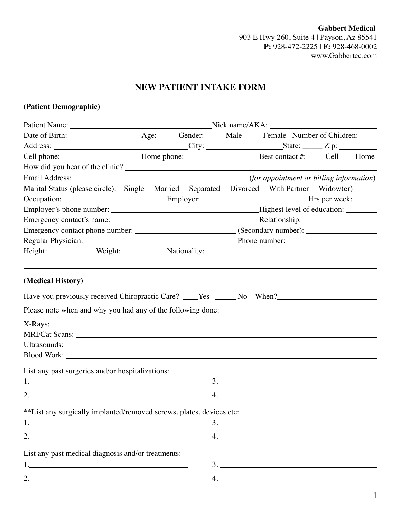**Gabbert Medical** 903 E Hwy 260, Suite 4 | Payson, Az 85541 **P:** 928-472-2225 | **F:** 928-468-0002 www.Gabbertcc.com

# **NEW PATIENT INTAKE FORM**

# **(Patient Demographic)**

| Cell phone: _________________________Home phone: _______________________________Best contact #: _____ Cell ___ Home                                                                                                            |  |  |    |  |    |
|--------------------------------------------------------------------------------------------------------------------------------------------------------------------------------------------------------------------------------|--|--|----|--|----|
|                                                                                                                                                                                                                                |  |  |    |  |    |
|                                                                                                                                                                                                                                |  |  |    |  |    |
| Marital Status (please circle): Single Married Separated Divorced With Partner Widow(er)                                                                                                                                       |  |  |    |  |    |
|                                                                                                                                                                                                                                |  |  |    |  |    |
|                                                                                                                                                                                                                                |  |  |    |  |    |
|                                                                                                                                                                                                                                |  |  |    |  |    |
|                                                                                                                                                                                                                                |  |  |    |  |    |
|                                                                                                                                                                                                                                |  |  |    |  |    |
| Height: Weight: Weight: Nationality: Nationality: Network of Alliance Control of Alliance Control of Alliance Control of Alliance Control of Alliance Control of Alliance Control of Alliance Control of Alliance Control of A |  |  |    |  |    |
|                                                                                                                                                                                                                                |  |  |    |  |    |
| (Medical History)<br>Have you previously received Chiropractic Care? ____Yes ______No When?___________<br>Please note when and why you had any of the following done:                                                          |  |  |    |  |    |
| $X-Rays:$                                                                                                                                                                                                                      |  |  |    |  |    |
|                                                                                                                                                                                                                                |  |  |    |  |    |
| Blood Work: New York: New York: New York: New York: New York: New York: New York: New York: New York: New York: New York: New York: New York: New York: New York: New York: New York: New York: New York: New York: New York:  |  |  |    |  |    |
| List any past surgeries and/or hospitalizations:                                                                                                                                                                               |  |  | 3. |  |    |
|                                                                                                                                                                                                                                |  |  |    |  |    |
| **List any surgically implanted/removed screws, plates, devices etc:<br>1.                                                                                                                                                     |  |  |    |  |    |
| 2. $\overline{\phantom{a}}$                                                                                                                                                                                                    |  |  |    |  | 4. |
| List any past medical diagnosis and/or treatments:                                                                                                                                                                             |  |  |    |  |    |
|                                                                                                                                                                                                                                |  |  |    |  | 3. |
| 2.                                                                                                                                                                                                                             |  |  |    |  | 4. |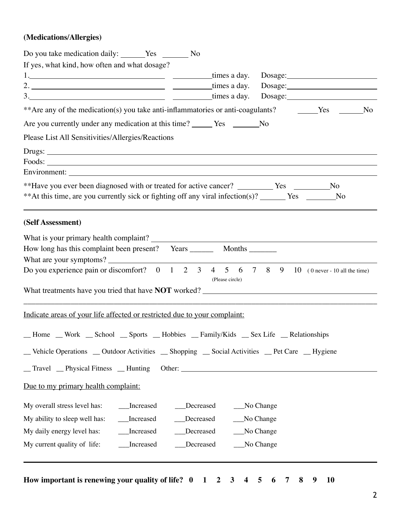## **(Medications/Allergies)**

| Do you take medication daily: _______Yes __________No                                                                    |                            |             |  |
|--------------------------------------------------------------------------------------------------------------------------|----------------------------|-------------|--|
| If yes, what kind, how often and what dosage?                                                                            |                            |             |  |
|                                                                                                                          | times a day.               |             |  |
|                                                                                                                          | times a day.               |             |  |
| $3.$ times a day.                                                                                                        |                            |             |  |
| **Are any of the medication(s) you take anti-inflammatories or anti-coagulants? The Ves The No                           |                            |             |  |
| Are you currently under any medication at this time? ______ Yes ________No                                               |                            |             |  |
| Please List All Sensitivities/Allergies/Reactions                                                                        |                            |             |  |
|                                                                                                                          |                            |             |  |
|                                                                                                                          |                            |             |  |
|                                                                                                                          |                            |             |  |
| **Have you ever been diagnosed with or treated for active cancer? ____________Yes ____________No                         |                            |             |  |
| **At this time, are you currently sick or fighting off any viral infection(s)? ______ Yes _______No                      |                            |             |  |
| (Self Assessment)                                                                                                        |                            |             |  |
|                                                                                                                          |                            |             |  |
|                                                                                                                          |                            |             |  |
|                                                                                                                          |                            |             |  |
| Do you experience pain or discomfort? $0 \t 1 \t 2 \t 3 \t 4 \t 5 \t 6 \t 7 \t 8 \t 9 \t 10$ (0 never - 10 all the time) |                            |             |  |
|                                                                                                                          | (Please circle)            |             |  |
|                                                                                                                          |                            |             |  |
| Indicate areas of your life affected or restricted due to your complaint:                                                |                            |             |  |
| _Home _Work _School _Sports _Hobbies _Family/Kids _Sex Life _Relationships                                               |                            |             |  |
| _Vehicle Operations _ Outdoor Activities _ Shopping _ Social Activities _ Pet Care _ Hygiene                             |                            |             |  |
|                                                                                                                          |                            |             |  |
|                                                                                                                          |                            |             |  |
| Due to my primary health complaint:                                                                                      |                            |             |  |
| My overall stress level has:<br>__Increased                                                                              | __Decreased<br>__No Change |             |  |
| __Increased<br>My ability to sleep well has:                                                                             | Decreased<br>No Change     |             |  |
| My daily energy level has:<br>_Increased                                                                                 | Decreased                  | _No Change  |  |
| My current quality of life:<br>__Increased                                                                               | Decreased                  | __No Change |  |
|                                                                                                                          |                            |             |  |
|                                                                                                                          |                            |             |  |

**How important is renewing your quality of life? 0 1 2 3 4 5 6 7 8 9 10**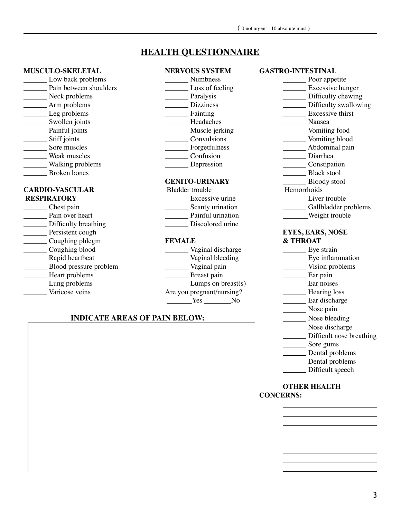# **HEALTH QUESTIONNAIRE**

#### **MUSCULO-SKELETAL NERVOUS SYSTEM GASTRO-INTESTINAL**

| Low back problems      | Numbness               | Poor appetite           |
|------------------------|------------------------|-------------------------|
| Pain between shoulders | Loss of feeling        | Excessive hunger        |
| Neck problems          | Paralysis              | Difficulty chewing      |
| Arm problems           | <b>Dizziness</b>       | Difficulty swallowing   |
| Leg problems           | Fainting               | Excessive thirst        |
| Swollen joints         | Headaches              | Nausea                  |
| Painful joints         | Muscle jerking         | Vomiting food           |
| Stiff joints           | Convulsions            | Vomiting blood          |
| Sore muscles           | Forgetfulness          | Abdominal pain          |
| Weak muscles           | Confusion              | Diarrhea                |
| Walking problems       | Depression             | Constipation            |
| <b>Broken</b> bones    |                        | <b>Black stool</b>      |
|                        | <b>GENITO-URINARY</b>  | <b>Bloody</b> stool     |
|                        |                        |                         |
| <b>CARDIO-VASCULAR</b> | <b>Bladder</b> trouble | Hemorrhoids             |
| <b>RESPIRATORY</b>     | Excessive urine        | Liver trouble           |
| Chest pain             | Scanty urination       | Gallbladder problems    |
| Pain over heart        | Painful urination      | Weight trouble          |
| Difficulty breathing   | Discolored urine       |                         |
| Persistent cough       |                        | <b>EYES, EARS, NOSE</b> |
| Coughing phlegm        | <b>FEMALE</b>          | & THROAT                |
| Coughing blood         | Vaginal discharge      | Eye strain              |
| Rapid heartbeat        | Vaginal bleeding       | Eye inflammation        |
| Blood pressure problem | Vaginal pain           | Vision problems         |
| Heart problems         | Breast pain            | Ear pain                |
| Lung problems          | Lumps on $break(s)$    | Ear noises              |

#### **INDICATE AREAS OF PAIN BELOW:**

Yes No Ear discharge Nose pain<br>Nose bleeding Nose discharge Difficult nose breathing Sore gums **Dental problems Dental problems Difficult** speech

<u> 1989 - Johann Barbara, martxa a</u>

**OTHER HEALTH CONCERNS:**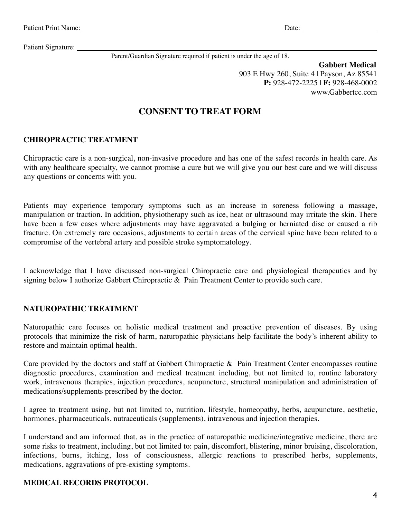Patient Signature:

Parent/Guardian Signature required if patient is under the age of 18.

 **Gabbert Medical** 903 E Hwy 260, Suite 4 | Payson, Az 85541 **P:** 928-472-2225 | **F:** 928-468-0002 www.Gabbertcc.com

# **CONSENT TO TREAT FORM**

## **CHIROPRACTIC TREATMENT**

Chiropractic care is a non-surgical, non-invasive procedure and has one of the safest records in health care. As with any healthcare specialty, we cannot promise a cure but we will give you our best care and we will discuss any questions or concerns with you.

Patients may experience temporary symptoms such as an increase in soreness following a massage, manipulation or traction. In addition, physiotherapy such as ice, heat or ultrasound may irritate the skin. There have been a few cases where adjustments may have aggravated a bulging or herniated disc or caused a rib fracture. On extremely rare occasions, adjustments to certain areas of the cervical spine have been related to a compromise of the vertebral artery and possible stroke symptomatology.

I acknowledge that I have discussed non-surgical Chiropractic care and physiological therapeutics and by signing below I authorize Gabbert Chiropractic & Pain Treatment Center to provide such care.

#### **NATUROPATHIC TREATMENT**

Naturopathic care focuses on holistic medical treatment and proactive prevention of diseases. By using protocols that minimize the risk of harm, naturopathic physicians help facilitate the body's inherent ability to restore and maintain optimal health.

Care provided by the doctors and staff at Gabbert Chiropractic & Pain Treatment Center encompasses routine diagnostic procedures, examination and medical treatment including, but not limited to, routine laboratory work, intravenous therapies, injection procedures, acupuncture, structural manipulation and administration of medications/supplements prescribed by the doctor.

I agree to treatment using, but not limited to, nutrition, lifestyle, homeopathy, herbs, acupuncture, aesthetic, hormones, pharmaceuticals, nutraceuticals (supplements), intravenous and injection therapies.

I understand and am informed that, as in the practice of naturopathic medicine/integrative medicine, there are some risks to treatment, including, but not limited to: pain, discomfort, blistering, minor bruising, discoloration, infections, burns, itching, loss of consciousness, allergic reactions to prescribed herbs, supplements, medications, aggravations of pre-existing symptoms.

## **MEDICAL RECORDS PROTOCOL**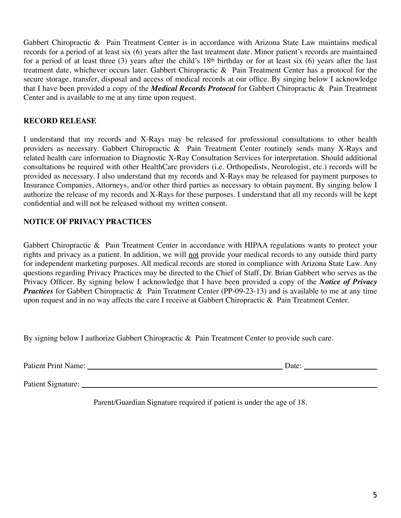Gabbert Chiropractic & Pain Treatment Center is in accordance with Arizona State Law maintains medical records for a period of at least six (6) years after the last treatment date. Minor patient's records are maintained for a period of at least three (3) years after the child's 18th birthday or for at least six (6) years after the last treatment date, whichever occurs later. Gabbert Chiropractic & Pain Treatment Center has a protocol for the secure storage, transfer, disposal and access of medical records at our office. By singing below I acknowledge that I have been provided a copy of the *Medical Records Protocol* for Gabbert Chiropractic & Pain Treatment Center and is available to me at any time upon request.

## **RECORD RELEASE**

I understand that my records and X-Rays may be released for professional consultations to other health providers as necessary. Gabbert Chiropractic & Pain Treatment Center routinely sends many X-Rays and related health care information to Diagnostic X-Ray Consultation Services for interpretation. Should additional consultations be required with other HealthCare providers (i.e. Orthopedists, Neurologist, etc.) records will be provided as necessary. I also understand that my records and X-Rays may be released for payment purposes to Insurance Companies, Attorneys, and/or other third parties as necessary to obtain payment. By singing below I authorize the release of my records and X-Rays for these purposes. I understand that all my records will be kept confidential and will not be released without my written consent.

## **NOTICE OF PRIVACY PRACTICES**

Gabbert Chiropractic & Pain Treatment Center in accordance with HIPAA regulations wants to protect your rights and privacy as a patient. In addition, we will not provide your medical records to any outside third party for independent marketing purposes. All medical records are stored in compliance with Arizona State Law. Any questions regarding Privacy Practices may be directed to the Chief of Staff, Dr. Brian Gabbert who serves as the Privacy Officer. By signing below I acknowledge that I have been provided a copy of the *Notice of Privacy Practices* for Gabbert Chiropractic & Pain Treatment Center (PP-09-23-13) and is available to me at any time upon request and in no way affects the care I receive at Gabbert Chiropractic & Pain Treatment Center.

By signing below I authorize Gabbert Chiropractic & Pain Treatment Center to provide such care.

Patient Print Name: Date:

Patient Signature:

Parent/Guardian Signature required if patient is under the age of 18.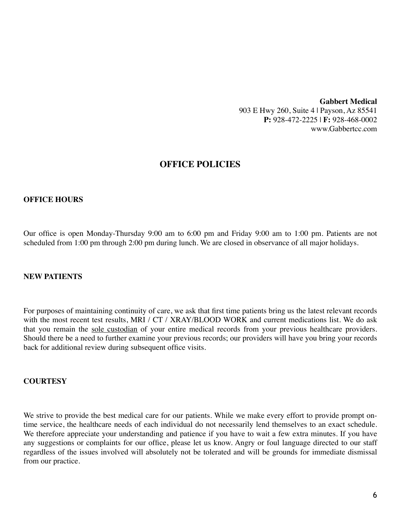#### **Gabbert Medical** 903 E Hwy 260, Suite 4 | Payson, Az 85541 **P:** 928-472-2225 | **F:** 928-468-0002 www.Gabbertcc.com

## **OFFICE POLICIES**

#### **OFFICE HOURS**

Our office is open Monday-Thursday 9:00 am to 6:00 pm and Friday 9:00 am to 1:00 pm. Patients are not scheduled from 1:00 pm through 2:00 pm during lunch. We are closed in observance of all major holidays.

#### **NEW PATIENTS**

For purposes of maintaining continuity of care, we ask that first time patients bring us the latest relevant records with the most recent test results, MRI / CT / XRAY/BLOOD WORK and current medications list. We do ask that you remain the sole custodian of your entire medical records from your previous healthcare providers. Should there be a need to further examine your previous records; our providers will have you bring your records back for additional review during subsequent office visits.

#### **COURTESY**

We strive to provide the best medical care for our patients. While we make every effort to provide prompt ontime service, the healthcare needs of each individual do not necessarily lend themselves to an exact schedule. We therefore appreciate your understanding and patience if you have to wait a few extra minutes. If you have any suggestions or complaints for our office, please let us know. Angry or foul language directed to our staff regardless of the issues involved will absolutely not be tolerated and will be grounds for immediate dismissal from our practice.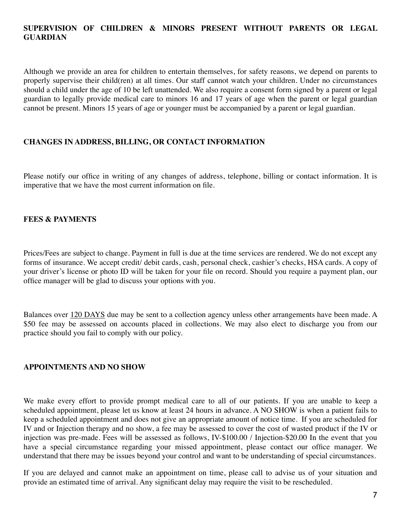## **SUPERVISION OF CHILDREN & MINORS PRESENT WITHOUT PARENTS OR LEGAL GUARDIAN**

Although we provide an area for children to entertain themselves, for safety reasons, we depend on parents to properly supervise their child(ren) at all times. Our staff cannot watch your children. Under no circumstances should a child under the age of 10 be left unattended. We also require a consent form signed by a parent or legal guardian to legally provide medical care to minors 16 and 17 years of age when the parent or legal guardian cannot be present. Minors 15 years of age or younger must be accompanied by a parent or legal guardian.

#### **CHANGES IN ADDRESS, BILLING, OR CONTACT INFORMATION**

Please notify our office in writing of any changes of address, telephone, billing or contact information. It is imperative that we have the most current information on file.

#### **FEES & PAYMENTS**

Prices/Fees are subject to change. Payment in full is due at the time services are rendered. We do not except any forms of insurance. We accept credit/ debit cards, cash, personal check, cashier's checks, HSA cards. A copy of your driver's license or photo ID will be taken for your file on record. Should you require a payment plan, our office manager will be glad to discuss your options with you.

Balances over 120 DAYS due may be sent to a collection agency unless other arrangements have been made. A \$50 fee may be assessed on accounts placed in collections. We may also elect to discharge you from our practice should you fail to comply with our policy.

#### **APPOINTMENTS AND NO SHOW**

We make every effort to provide prompt medical care to all of our patients. If you are unable to keep a scheduled appointment, please let us know at least 24 hours in advance. A NO SHOW is when a patient fails to keep a scheduled appointment and does not give an appropriate amount of notice time. If you are scheduled for IV and or Injection therapy and no show, a fee may be assessed to cover the cost of wasted product if the IV or injection was pre-made. Fees will be assessed as follows, IV-\$100.00 / Injection-\$20.00 In the event that you have a special circumstance regarding your missed appointment, please contact our office manager. We understand that there may be issues beyond your control and want to be understanding of special circumstances.

If you are delayed and cannot make an appointment on time, please call to advise us of your situation and provide an estimated time of arrival. Any significant delay may require the visit to be rescheduled.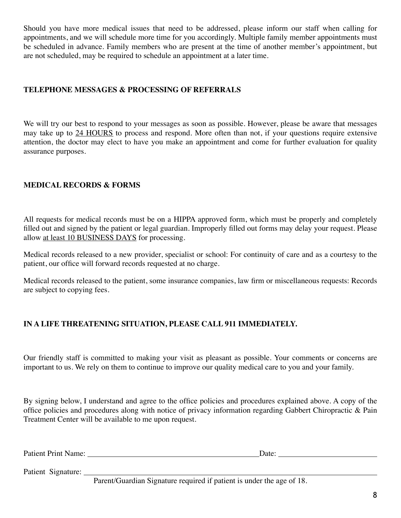Should you have more medical issues that need to be addressed, please inform our staff when calling for appointments, and we will schedule more time for you accordingly. Multiple family member appointments must be scheduled in advance. Family members who are present at the time of another member's appointment, but are not scheduled, may be required to schedule an appointment at a later time.

#### **TELEPHONE MESSAGES & PROCESSING OF REFERRALS**

We will try our best to respond to your messages as soon as possible. However, please be aware that messages may take up to 24 HOURS to process and respond. More often than not, if your questions require extensive attention, the doctor may elect to have you make an appointment and come for further evaluation for quality assurance purposes.

## **MEDICAL RECORDS & FORMS**

All requests for medical records must be on a HIPPA approved form, which must be properly and completely filled out and signed by the patient or legal guardian. Improperly filled out forms may delay your request. Please allow at least 10 BUSINESS DAYS for processing.

Medical records released to a new provider, specialist or school: For continuity of care and as a courtesy to the patient, our office will forward records requested at no charge.

Medical records released to the patient, some insurance companies, law firm or miscellaneous requests: Records are subject to copying fees.

## **IN A LIFE THREATENING SITUATION, PLEASE CALL 911 IMMEDIATELY.**

Our friendly staff is committed to making your visit as pleasant as possible. Your comments or concerns are important to us. We rely on them to continue to improve our quality medical care to you and your family.

By signing below, I understand and agree to the office policies and procedures explained above. A copy of the office policies and procedures along with notice of privacy information regarding Gabbert Chiropractic & Pain Treatment Center will be available to me upon request.

Patient Print Name: Date: Date:

Patient Signature:

Parent/Guardian Signature required if patient is under the age of 18.